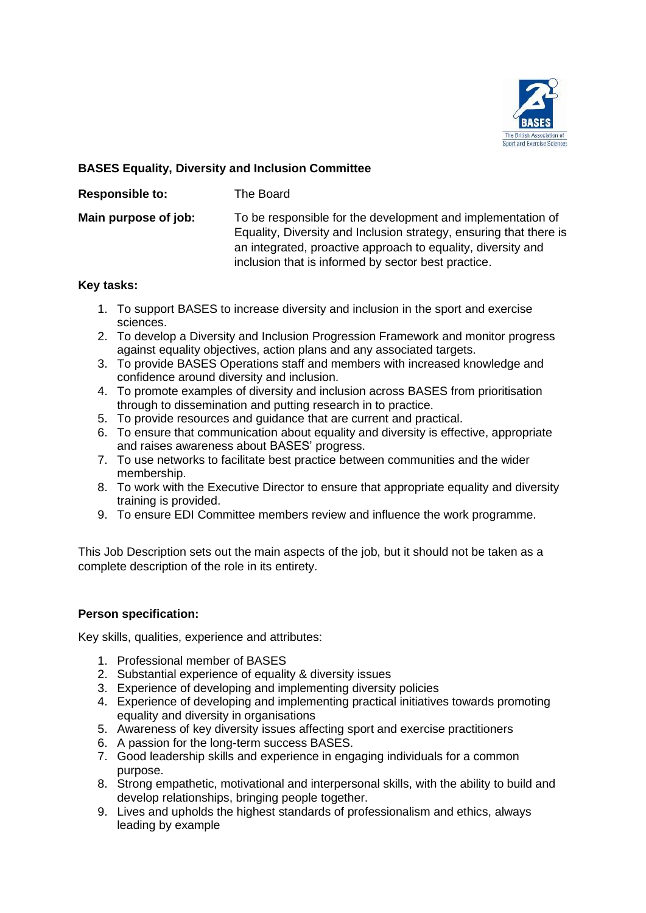

# **BASES Equality, Diversity and Inclusion Committee**

**Responsible to:** The Board

**Main purpose of job:** To be responsible for the development and implementation of Equality, Diversity and Inclusion strategy, ensuring that there is an integrated, proactive approach to equality, diversity and inclusion that is informed by sector best practice.

### **Key tasks:**

- 1. To support BASES to increase diversity and inclusion in the sport and exercise sciences.
- 2. To develop a Diversity and Inclusion Progression Framework and monitor progress against equality objectives, action plans and any associated targets.
- 3. To provide BASES Operations staff and members with increased knowledge and confidence around diversity and inclusion.
- 4. To promote examples of diversity and inclusion across BASES from prioritisation through to dissemination and putting research in to practice.
- 5. To provide resources and guidance that are current and practical.
- 6. To ensure that communication about equality and diversity is effective, appropriate and raises awareness about BASES' progress.
- 7. To use networks to facilitate best practice between communities and the wider membership.
- 8. To work with the Executive Director to ensure that appropriate equality and diversity training is provided.
- 9. To ensure EDI Committee members review and influence the work programme.

This Job Description sets out the main aspects of the job, but it should not be taken as a complete description of the role in its entirety.

## **Person specification:**

Key skills, qualities, experience and attributes:

- 1. Professional member of BASES
- 2. Substantial experience of equality & diversity issues
- 3. Experience of developing and implementing diversity policies
- 4. Experience of developing and implementing practical initiatives towards promoting equality and diversity in organisations
- 5. Awareness of key diversity issues affecting sport and exercise practitioners
- 6. A passion for the long-term success BASES.
- 7. Good leadership skills and experience in engaging individuals for a common purpose.
- 8. Strong empathetic, motivational and interpersonal skills, with the ability to build and develop relationships, bringing people together.
- 9. Lives and upholds the highest standards of professionalism and ethics, always leading by example